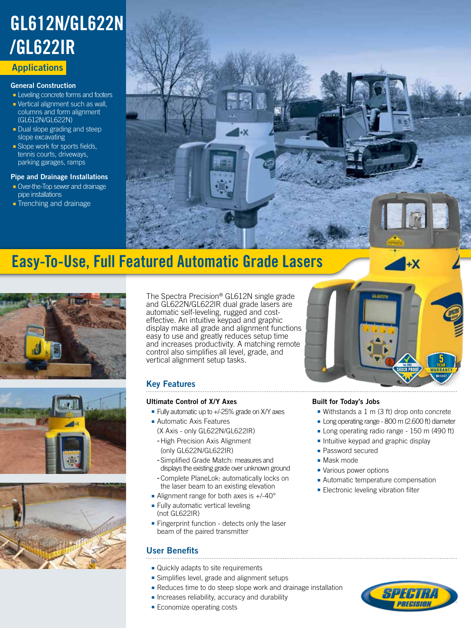# **Applications** GL612N/GL622N /GL622IR

### General Construction

- Leveling concrete forms and footers
- Vertical alignment such as wall, columns and form alignment (GL612N/GL622N)
- Dual slope grading and steep slope excavating
- Slope work for sports fields, tennis courts, driveways, parking garages, ramps

### Pipe and Drainage Installations

- Over-the-Top sewer and drainage pipe installations
- Trenching and drainage



## Easy-To-Use, Full Featured Automatic Grade Lasers







The Spectra Precision® GL612N single grade and GL622N/GL622IR dual grade lasers are automatic self-leveling, rugged and costeffective. An intuitive keypad and graphic display make all grade and alignment functions easy to use and greatly reduces setup time and increases productivity. A matching remote control also simplifies all level, grade, and vertical alignment setup tasks.

### Key Features

### Ultimate Control of X/Y Axes

- Fully automatic up to +/-25% grade on X/Y axes
- Automatic Axis Features (X Axis - only GL622N/GL622IR)
	- -High Precision Axis Alignment (only GL622N/GL622IR)
- -Simplified Grade Match: measures and displays the existing grade over unknown ground -Complete PlaneLok: automatically locks on
- the laser beam to an existing elevation
- Alignment range for both axes is +/-40° ■ Fully automatic vertical leveling
- (not GL622IR)
- Fingerprint function detects only the laser beam of the paired transmitter

### User Benefits

- Quickly adapts to site requirements
- Simplifies level, grade and alignment setups
- Reduces time to do steep slope work and drainage installation
- Increases reliability, accuracy and durability
- Economize operating costs



### Built for Today's Jobs

- Withstands a 1 m (3 ft) drop onto concrete
- Long operating range 800 m (2.600 ft) diameter
- Long operating radio range 150 m (490 ft)
- Intuitive keypad and graphic display
- Password secured
- Mask mode
- Various power options
- Automatic temperature compensation
- Electronic leveling vibration filter